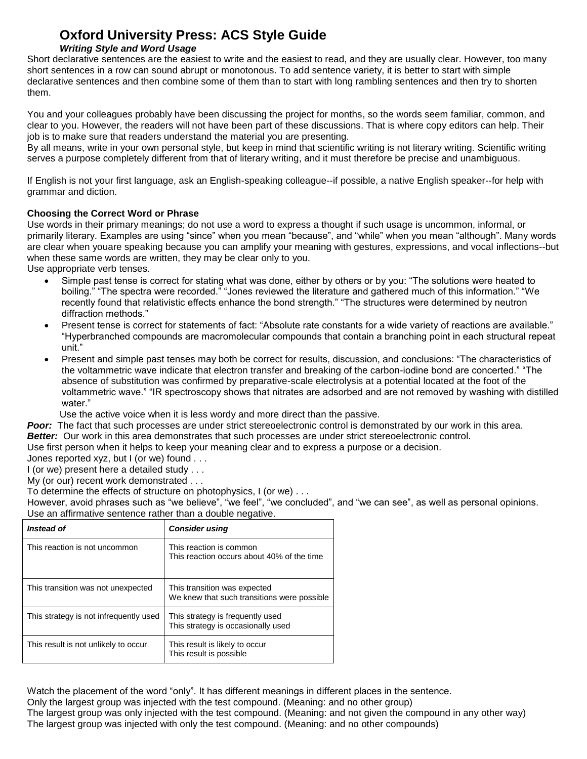# **Oxford University Press: ACS Style Guide**

## *Writing Style and Word Usage*

Short declarative sentences are the easiest to write and the easiest to read, and they are usually clear. However, too many short sentences in a row can sound abrupt or monotonous. To add sentence variety, it is better to start with simple declarative sentences and then combine some of them than to start with long rambling sentences and then try to shorten them.

You and your colleagues probably have been discussing the project for months, so the words seem familiar, common, and clear to you. However, the readers will not have been part of these discussions. That is where copy editors can help. Their job is to make sure that readers understand the material you are presenting.

By all means, write in your own personal style, but keep in mind that scientific writing is not literary writing. Scientific writing serves a purpose completely different from that of literary writing, and it must therefore be precise and unambiguous.

If English is not your first language, ask an English-speaking colleague--if possible, a native English speaker--for help with grammar and diction.

### **Choosing the Correct Word or Phrase**

Use words in their primary meanings; do not use a word to express a thought if such usage is uncommon, informal, or primarily literary. Examples are using "since" when you mean "because", and "while" when you mean "although". Many words are clear when youare speaking because you can amplify your meaning with gestures, expressions, and vocal inflections--but when these same words are written, they may be clear only to you.

Use appropriate verb tenses.

- Simple past tense is correct for stating what was done, either by others or by you: "The solutions were heated to boiling." "The spectra were recorded." "Jones reviewed the literature and gathered much of this information." "We recently found that relativistic effects enhance the bond strength." "The structures were determined by neutron diffraction methods."
- Present tense is correct for statements of fact: "Absolute rate constants for a wide variety of reactions are available." "Hyperbranched compounds are macromolecular compounds that contain a branching point in each structural repeat unit."
- Present and simple past tenses may both be correct for results, discussion, and conclusions: "The characteristics of the voltammetric wave indicate that electron transfer and breaking of the carbon-iodine bond are concerted." "The absence of substitution was confirmed by preparative-scale electrolysis at a potential located at the foot of the voltammetric wave." "IR spectroscopy shows that nitrates are adsorbed and are not removed by washing with distilled water."
	- Use the active voice when it is less wordy and more direct than the passive.

**Poor:** The fact that such processes are under strict stereoelectronic control is demonstrated by our work in this area.

**Better:** Our work in this area demonstrates that such processes are under strict stereoelectronic control.

Use first person when it helps to keep your meaning clear and to express a purpose or a decision.

Jones reported xyz, but I (or we) found . . .

I (or we) present here a detailed study . . .

My (or our) recent work demonstrated . . .

To determine the effects of structure on photophysics, I (or we) . . .

However, avoid phrases such as "we believe", "we feel", "we concluded", and "we can see", as well as personal opinions. Use an affirmative sentence rather than a double negative.

| Instead of                             | <b>Consider using</b>                                                       |
|----------------------------------------|-----------------------------------------------------------------------------|
| This reaction is not uncommon          | This reaction is common<br>This reaction occurs about 40% of the time       |
| This transition was not unexpected     | This transition was expected<br>We knew that such transitions were possible |
| This strategy is not infrequently used | This strategy is frequently used<br>This strategy is occasionally used      |
| This result is not unlikely to occur   | This result is likely to occur<br>This result is possible                   |

Watch the placement of the word "only". It has different meanings in different places in the sentence. Only the largest group was injected with the test compound. (Meaning: and no other group)

The largest group was only injected with the test compound. (Meaning: and not given the compound in any other way) The largest group was injected with only the test compound. (Meaning: and no other compounds)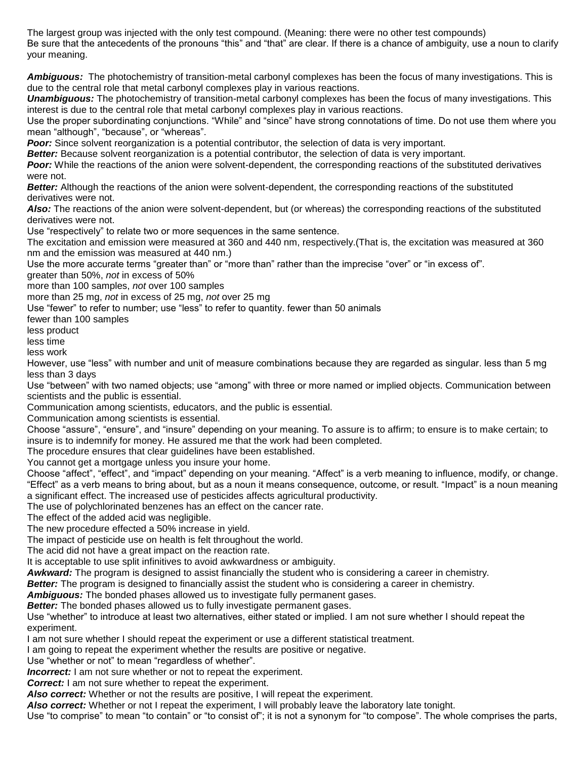The largest group was injected with the only test compound. (Meaning: there were no other test compounds) Be sure that the antecedents of the pronouns "this" and "that" are clear. If there is a chance of ambiguity, use a noun to clarify your meaning.

*Ambiguous:* The photochemistry of transition-metal carbonyl complexes has been the focus of many investigations. This is due to the central role that metal carbonyl complexes play in various reactions.

*Unambiguous:* The photochemistry of transition-metal carbonyl complexes has been the focus of many investigations. This interest is due to the central role that metal carbonyl complexes play in various reactions.

Use the proper subordinating conjunctions. "While" and "since" have strong connotations of time. Do not use them where you mean "although", "because", or "whereas".

**Poor:** Since solvent reorganization is a potential contributor, the selection of data is very important.

**Better:** Because solvent reorganization is a potential contributor, the selection of data is very important.

**Poor:** While the reactions of the anion were solvent-dependent, the corresponding reactions of the substituted derivatives were not.

*Better:* Although the reactions of the anion were solvent-dependent, the corresponding reactions of the substituted derivatives were not.

*Also:* The reactions of the anion were solvent-dependent, but (or whereas) the corresponding reactions of the substituted derivatives were not.

Use "respectively" to relate two or more sequences in the same sentence.

The excitation and emission were measured at 360 and 440 nm, respectively.(That is, the excitation was measured at 360 nm and the emission was measured at 440 nm.)

Use the more accurate terms "greater than" or "more than" rather than the imprecise "over" or "in excess of".

greater than 50%, *not* in excess of 50%

more than 100 samples, *not* over 100 samples

more than 25 mg, *not* in excess of 25 mg, *not* over 25 mg

Use "fewer" to refer to number; use "less" to refer to quantity. fewer than 50 animals

fewer than 100 samples

less product

less time

less work

However, use "less" with number and unit of measure combinations because they are regarded as singular. less than 5 mg less than 3 days

Use "between" with two named objects; use "among" with three or more named or implied objects. Communication between scientists and the public is essential.

Communication among scientists, educators, and the public is essential.

Communication among scientists is essential.

Choose "assure", "ensure", and "insure" depending on your meaning. To assure is to affirm; to ensure is to make certain; to insure is to indemnify for money. He assured me that the work had been completed.

The procedure ensures that clear guidelines have been established.

You cannot get a mortgage unless you insure your home.

Choose "affect", "effect", and "impact" depending on your meaning. "Affect" is a verb meaning to influence, modify, or change. "Effect" as a verb means to bring about, but as a noun it means consequence, outcome, or result. "Impact" is a noun meaning a significant effect. The increased use of pesticides affects agricultural productivity.

The use of polychlorinated benzenes has an effect on the cancer rate.

The effect of the added acid was negligible.

The new procedure effected a 50% increase in yield.

The impact of pesticide use on health is felt throughout the world.

The acid did not have a great impact on the reaction rate.

It is acceptable to use split infinitives to avoid awkwardness or ambiguity.

*Awkward:* The program is designed to assist financially the student who is considering a career in chemistry.

**Better:** The program is designed to financially assist the student who is considering a career in chemistry.

**Ambiguous:** The bonded phases allowed us to investigate fully permanent gases.

**Better:** The bonded phases allowed us to fully investigate permanent gases.

Use "whether" to introduce at least two alternatives, either stated or implied. I am not sure whether I should repeat the experiment.

I am not sure whether I should repeat the experiment or use a different statistical treatment.

I am going to repeat the experiment whether the results are positive or negative.

Use "whether or not" to mean "regardless of whether".

*Incorrect:* I am not sure whether or not to repeat the experiment.

**Correct:** I am not sure whether to repeat the experiment.

Also correct: Whether or not the results are positive, I will repeat the experiment.

Also correct: Whether or not I repeat the experiment, I will probably leave the laboratory late tonight.

Use "to comprise" to mean "to contain" or "to consist of"; it is not a synonym for "to compose". The whole comprises the parts,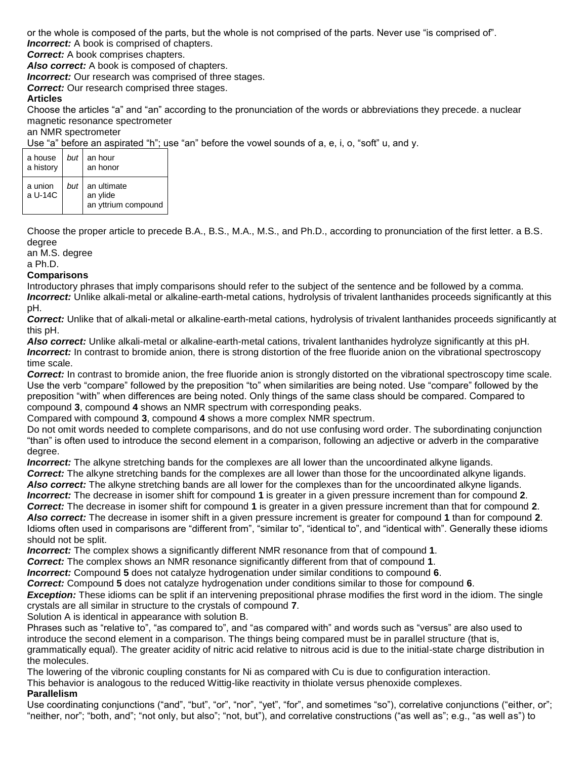or the whole is composed of the parts, but the whole is not comprised of the parts. Never use "is comprised of". *Incorrect:* A book is comprised of chapters.

*Correct:* A book comprises chapters.

*Also correct:* A book is composed of chapters.

**Incorrect:** Our research was comprised of three stages.

*Correct:* Our research comprised three stages.

### **Articles**

Choose the articles "a" and "an" according to the pronunciation of the words or abbreviations they precede. a nuclear magnetic resonance spectrometer

### an NMR spectrometer

Use "a" before an aspirated "h"; use "an" before the vowel sounds of a, e, i, o, "soft" u, and y.

| a house<br>a history | but | an hour<br>an honor                            |
|----------------------|-----|------------------------------------------------|
| a union<br>a U-14C   | but | an ultimate<br>an ylide<br>an yttrium compound |

Choose the proper article to precede B.A., B.S., M.A., M.S., and Ph.D., according to pronunciation of the first letter. a B.S. degree

an M.S. degree

a Ph.D.

# **Comparisons**

Introductory phrases that imply comparisons should refer to the subject of the sentence and be followed by a comma. *Incorrect:* Unlike alkali-metal or alkaline-earth-metal cations, hydrolysis of trivalent lanthanides proceeds significantly at this pH.

*Correct:* Unlike that of alkali-metal or alkaline-earth-metal cations, hydrolysis of trivalent lanthanides proceeds significantly at this pH.

*Also correct:* Unlike alkali-metal or alkaline-earth-metal cations, trivalent lanthanides hydrolyze significantly at this pH. *Incorrect:* In contrast to bromide anion, there is strong distortion of the free fluoride anion on the vibrational spectroscopy time scale.

**Correct:** In contrast to bromide anion, the free fluoride anion is strongly distorted on the vibrational spectroscopy time scale. Use the verb "compare" followed by the preposition "to" when similarities are being noted. Use "compare" followed by the preposition "with" when differences are being noted. Only things of the same class should be compared. Compared to compound **3**, compound **4** shows an NMR spectrum with corresponding peaks.

Compared with compound **3**, compound **4** shows a more complex NMR spectrum.

Do not omit words needed to complete comparisons, and do not use confusing word order. The subordinating conjunction "than" is often used to introduce the second element in a comparison, following an adjective or adverb in the comparative degree.

*Incorrect:* The alkyne stretching bands for the complexes are all lower than the uncoordinated alkyne ligands.

*Correct:* The alkyne stretching bands for the complexes are all lower than those for the uncoordinated alkyne ligands. *Also correct:* The alkyne stretching bands are all lower for the complexes than for the uncoordinated alkyne ligands.

*Incorrect:* The decrease in isomer shift for compound **1** is greater in a given pressure increment than for compound **2**. *Correct:* The decrease in isomer shift for compound **1** is greater in a given pressure increment than that for compound **2**. *Also correct:* The decrease in isomer shift in a given pressure increment is greater for compound **1** than for compound **2**. Idioms often used in comparisons are "different from", "similar to", "identical to", and "identical with". Generally these idioms should not be split.

*Incorrect:* The complex shows a significantly different NMR resonance from that of compound **1**.

*Correct:* The complex shows an NMR resonance significantly different from that of compound **1**.

*Incorrect:* Compound **5** does not catalyze hydrogenation under similar conditions to compound **6**.

*Correct:* Compound **5** does not catalyze hydrogenation under conditions similar to those for compound **6**.

**Exception:** These idioms can be split if an intervening prepositional phrase modifies the first word in the idiom. The single crystals are all similar in structure to the crystals of compound **7**.

Solution A is identical in appearance with solution B.

Phrases such as "relative to", "as compared to", and "as compared with" and words such as "versus" are also used to introduce the second element in a comparison. The things being compared must be in parallel structure (that is, grammatically equal). The greater acidity of nitric acid relative to nitrous acid is due to the initial-state charge distribution in the molecules.

The lowering of the vibronic coupling constants for Ni as compared with Cu is due to configuration interaction.

This behavior is analogous to the reduced Wittig-like reactivity in thiolate versus phenoxide complexes.

### **Parallelism**

Use coordinating conjunctions ("and", "but", "or", "nor", "yet", "for", and sometimes "so"), correlative conjunctions ("either, or"; "neither, nor"; "both, and"; "not only, but also"; "not, but"), and correlative constructions ("as well as"; e.g., "as well as") to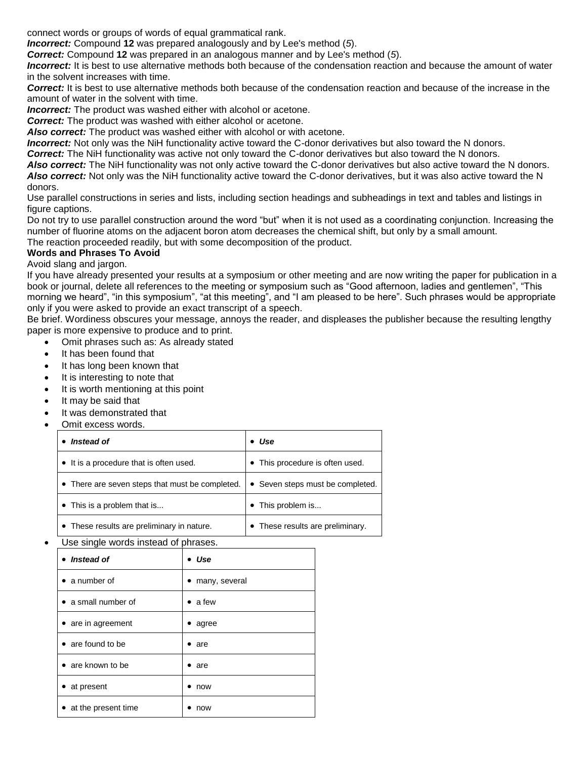connect words or groups of words of equal grammatical rank.

*Incorrect:* Compound **12** was prepared analogously and by Lee's method (*5*).

*Correct:* Compound **12** was prepared in an analogous manner and by Lee's method (*5*).

*Incorrect:* It is best to use alternative methods both because of the condensation reaction and because the amount of water in the solvent increases with time.

*Correct:* It is best to use alternative methods both because of the condensation reaction and because of the increase in the amount of water in the solvent with time.

**Incorrect:** The product was washed either with alcohol or acetone.

*Correct:* The product was washed with either alcohol or acetone.

*Also correct:* The product was washed either with alcohol or with acetone.

*Incorrect:* Not only was the NiH functionality active toward the C-donor derivatives but also toward the N donors.

*Correct:* The NiH functionality was active not only toward the C-donor derivatives but also toward the N donors.

Also correct: The NiH functionality was not only active toward the C-donor derivatives but also active toward the N donors. Also correct: Not only was the NiH functionality active toward the C-donor derivatives, but it was also active toward the N donors.

Use parallel constructions in series and lists, including section headings and subheadings in text and tables and listings in figure captions.

Do not try to use parallel construction around the word "but" when it is not used as a coordinating conjunction. Increasing the number of fluorine atoms on the adjacent boron atom decreases the chemical shift, but only by a small amount.

The reaction proceeded readily, but with some decomposition of the product.

### **Words and Phrases To Avoid**

### Avoid slang and jargon.

If you have already presented your results at a symposium or other meeting and are now writing the paper for publication in a book or journal, delete all references to the meeting or symposium such as "Good afternoon, ladies and gentlemen", "This morning we heard", "in this symposium", "at this meeting", and "I am pleased to be here". Such phrases would be appropriate only if you were asked to provide an exact transcript of a speech.

Be brief. Wordiness obscures your message, annoys the reader, and displeases the publisher because the resulting lengthy paper is more expensive to produce and to print.

- Omit phrases such as: As already stated
- It has been found that
- It has long been known that
- It is interesting to note that
- It is worth mentioning at this point
- It may be said that
- It was demonstrated that
- Omit excess words.

| Instead of                                      | Use                              |
|-------------------------------------------------|----------------------------------|
| • It is a procedure that is often used.         | • This procedure is often used.  |
| • There are seven steps that must be completed. | • Seven steps must be completed. |
| • This is a problem that is                     | • This problem is                |
| • These results are preliminary in nature.      | • These results are preliminary. |

Use single words instead of phrases.

| • Instead of                | • Use                      |
|-----------------------------|----------------------------|
| $\bullet$ a number of       | many, several<br>$\bullet$ |
| $\bullet$ a small number of | $\bullet$ a few            |
| • are in agreement          | agree                      |
| • are found to be           | $\bullet$ are              |
| • are known to be           | are                        |
| • at present                | now                        |
| • at the present time       | now                        |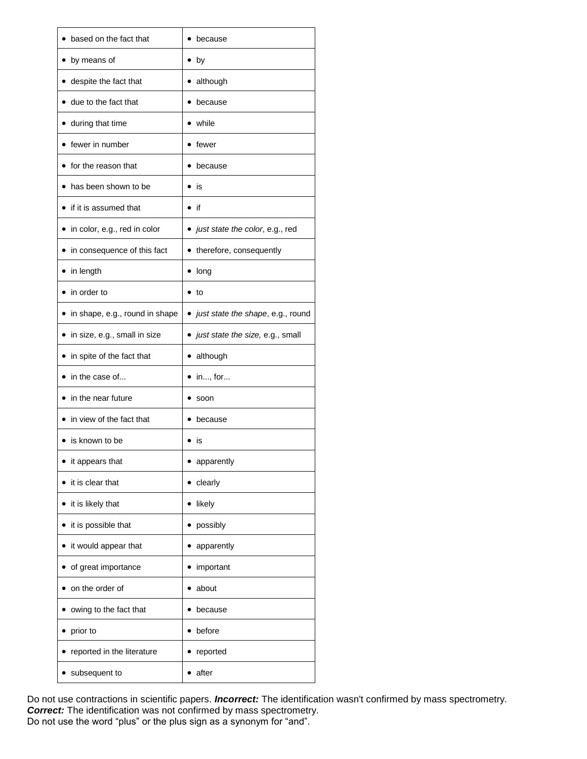| based on the fact that           | because                             |
|----------------------------------|-------------------------------------|
| by means of<br>٠                 | $\bullet$ by                        |
| despite the fact that            | although                            |
| due to the fact that             | because                             |
| during that time                 | while                               |
| fewer in number                  | $\bullet$ fewer                     |
| for the reason that              | because                             |
| has been shown to be             | ● is                                |
| if it is assumed that            | $\bullet$ if                        |
| • in color, e.g., red in color   | · just state the color, e.g., red   |
| in consequence of this fact<br>٠ | • therefore, consequently           |
| • in length                      | $\bullet$ long                      |
| in order to                      | $\bullet$ to                        |
| in shape, e.g., round in shape   | • just state the shape, e.g., round |
| · in size, e.g., small in size   | • just state the size, e.g., small  |
| • in spite of the fact that      | • although                          |
| in the case of<br>$\bullet$      | $\bullet$ in, for                   |
| in the near future               | soon                                |
| in view of the fact that         | because                             |
| is known to be                   | is                                  |
| it appears that                  | apparently                          |
| it is clear that                 | • clearly                           |
| it is likely that                | likely                              |
| it is possible that              | possibly                            |
| it would appear that             | apparently                          |
| of great importance              | important                           |
| on the order of                  | about                               |
| owing to the fact that           | because                             |
| prior to                         | before                              |
| reported in the literature       | reported                            |
| subsequent to                    | after                               |

Do not use contractions in scientific papers. *Incorrect:* The identification wasn't confirmed by mass spectrometry. *Correct:* The identification was not confirmed by mass spectrometry. Do not use the word "plus" or the plus sign as a synonym for "and".